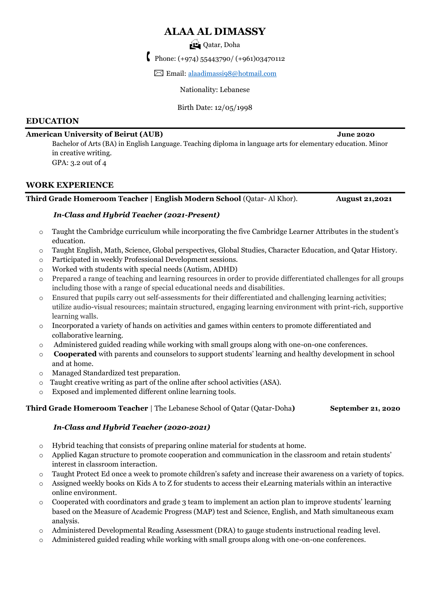# **ALAA AL DIMASSY**

# Qatar, Doha

Phone:  $(+974)$  55443790/ $(+961)$ 03470112

✉ Email: [alaadimassi98@hotmail.com](mailto:alaadimassi98@hotmail.com)

Nationality: Lebanese

Birth Date: 12/05/1998

### **EDUCATION**

#### **American University of Beirut (AUB) June 2020**

Bachelor of Arts (BA) in English Language. Teaching diploma in language arts for elementary education. Minor in creative writing. GPA: 3.2 out of 4

#### **WORK EXPERIENCE**

#### **Third Grade Homeroom Teacher | English Modern School** (Qatar- Al Khor). **August 21,2021**

### *In-Class and Hybrid Teacher (2021-Present)*

- o Taught the Cambridge curriculum while incorporating the five Cambridge Learner Attributes in the student's education.
- o Taught English, Math, Science, Global perspectives, Global Studies, Character Education, and Qatar History.
- o Participated in weekly Professional Development sessions.
- o Worked with students with special needs (Autism, ADHD)
- o Prepared a range of teaching and learning resources in order to provide differentiated challenges for all groups including those with a range of special educational needs and disabilities.
- o Ensured that pupils carry out self-assessments for their differentiated and challenging learning activities; utilize audio-visual resources; maintain structured, engaging learning environment with print-rich, supportive learning walls.
- o Incorporated a variety of hands on activities and games within centers to promote differentiated and collaborative learning.
- o Administered guided reading while working with small groups along with one-on-one conferences.
- o **Cooperated** with parents and counselors to support students' learning and healthy development in school and at home.
- o Managed Standardized test preparation.
- o Taught creative writing as part of the online after school activities (ASA).
- o Exposed and implemented different online learning tools.

#### **Third Grade Homeroom Teacher** | The Lebanese School of Qatar (Qatar-Doha**) September 21, 2020**

### *In-Class and Hybrid Teacher (2020-2021)*

- o Hybrid teaching that consists of preparing online material for students at home.
- o Applied Kagan structure to promote cooperation and communication in the classroom and retain students' interest in classroom interaction.
- o Taught Protect Ed once a week to promote children's safety and increase their awareness on a variety of topics.
- o Assigned weekly books on Kids A to Z for students to access their eLearning materials within an interactive online environment.
- $\circ$  Cooperated with coordinators and grade 3 team to implement an action plan to improve students' learning based on the Measure of Academic Progress (MAP) test and Science, English, and Math simultaneous exam analysis.
- o Administered Developmental Reading Assessment (DRA) to gauge students instructional reading level.
- o Administered guided reading while working with small groups along with one-on-one conferences.